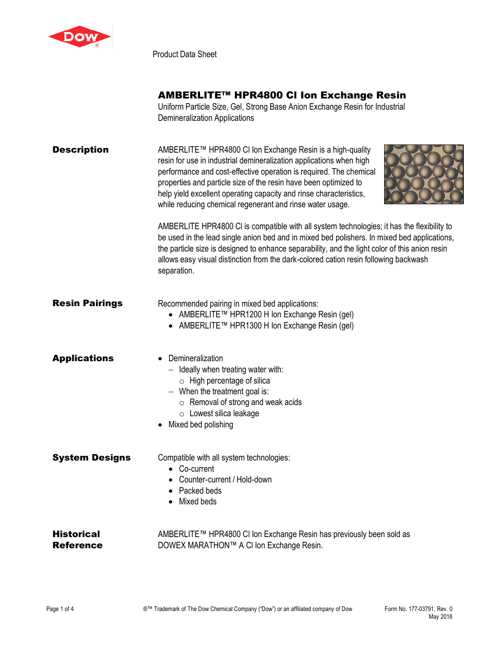

Product Data Sheet

# AMBERLITE™ HPR4800 Cl Ion Exchange Resin

Uniform Particle Size, Gel, Strong Base Anion Exchange Resin for Industrial Demineralization Applications

| Description | AMBERLITE™ HPR4800 CI Ion Exchange Resin is a high-quality                                                                                |  |
|-------------|-------------------------------------------------------------------------------------------------------------------------------------------|--|
|             | resin for use in industrial demineralization applications when high<br>performance and cost-effective operation is required. The chemical |  |
|             | properties and particle size of the resin have been optimized to                                                                          |  |
|             | help yield excellent operating capacity and rinse characteristics,<br>while reducing chemical regenerant and rinse water usage.           |  |
|             | $\triangle M$ DEDLITE LIDD $\triangle A$ 000 OL:a aamaatikla with all ayatam taabaalaajaa; it haa th                                      |  |

AMBERLITE HPR4800 Cl is compatible with all system technologies; it has the flexibility to be used in the lead single anion bed and in mixed bed polishers. In mixed bed applications, the particle size is designed to enhance separability, and the light color of this anion resin allows easy visual distinction from the dark-colored cation resin following backwash separation.

| <b>Resin Pairings</b>   | Recommended pairing in mixed bed applications:<br>● AMBERLITE™ HPR1200 H Ion Exchange Resin (gel)<br>● AMBERLITE™ HPR1300 H Ion Exchange Resin (gel)                                                                                    |
|-------------------------|-----------------------------------------------------------------------------------------------------------------------------------------------------------------------------------------------------------------------------------------|
| Applications            | Demineralization<br>$-$ Ideally when treating water with:<br>$\circ$ High percentage of silica<br>$-$ When the treatment goal is:<br>$\circ$ Removal of strong and weak acids<br>$\circ$ Lowest silica leakage<br>• Mixed bed polishing |
| <b>System Designs</b>   | Compatible with all system technologies:<br>• Co-current<br>Counter-current / Hold-down<br>Packed beds<br>Mixed beds<br>$\bullet$                                                                                                       |
| Historical<br>Reference | AMBERLITE™ HPR4800 CI Ion Exchange Resin has previously been sold as<br>DOWEX MARATHON™ A CI Ion Exchange Resin.                                                                                                                        |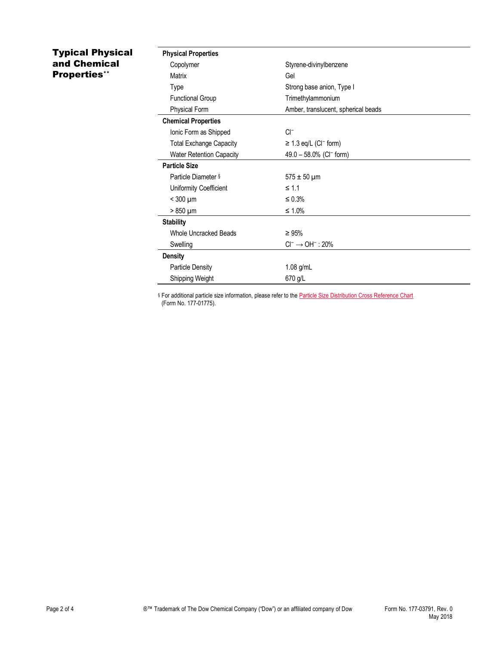## Typical Physical and Chemical Properties\*\*

| <b>Physical Properties</b>      |                                        |
|---------------------------------|----------------------------------------|
| Copolymer                       | Styrene-divinylbenzene                 |
| Matrix                          | Gel                                    |
| Type                            | Strong base anion, Type I              |
| <b>Functional Group</b>         | Trimethylammonium                      |
| <b>Physical Form</b>            | Amber, translucent, spherical beads    |
| <b>Chemical Properties</b>      |                                        |
| Ionic Form as Shipped           | $Cl^-$                                 |
| <b>Total Exchange Capacity</b>  | $\geq$ 1.3 eq/L (CI <sup>-</sup> form) |
| <b>Water Retention Capacity</b> | 49.0 - 58.0% (CI <sup>-</sup> form)    |
| <b>Particle Size</b>            |                                        |
| Particle Diameter §             | $575 \pm 50 \,\mu m$                   |
| Uniformity Coefficient          | $\leq 1.1$                             |
| $<$ 300 $\mu$ m                 | $\leq 0.3\%$                           |
| $> 850 \mu m$                   | $\leq 1.0\%$                           |
| <b>Stability</b>                |                                        |
| <b>Whole Uncracked Beads</b>    | $\geq 95\%$                            |
| Swelling                        | $Cl^- \rightarrow OH^-$ : 20%          |
| <b>Density</b>                  |                                        |
| <b>Particle Density</b>         | $1.08$ g/mL                            |
| Shipping Weight                 | 670 g/L                                |

§ For additional particle size information, please refer to the **Particle Size Distribution Cross Reference Chart** (Form No. 177-01775).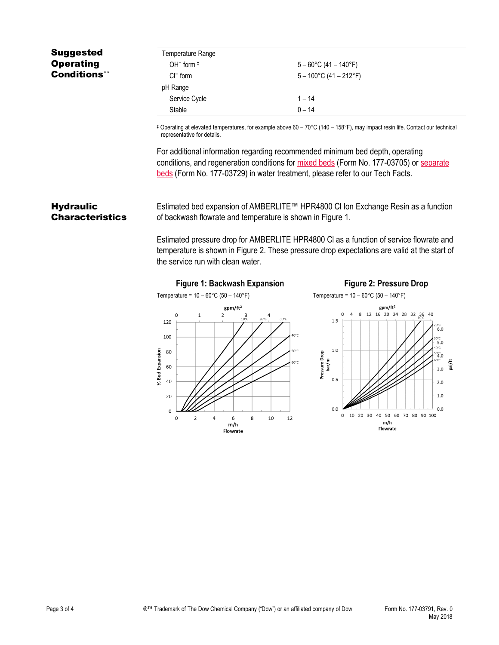## Suggested **Operating** Conditions\*\*

| Temperature Range |                                  |
|-------------------|----------------------------------|
| OH $-$ form $\pm$ | $5 - 60^{\circ}$ C (41 – 140°F)  |
| $Cl^-$ form       | $5 - 100^{\circ}$ C (41 – 212°F) |
| pH Range          |                                  |
| Service Cycle     | $1 - 14$                         |
| Stable            | $0 - 14$                         |

‡ Operating at elevated temperatures, for example above 60 – 70°C (140 – 158°F), may impact resin life. Contact our technical representative for details.

For additional information regarding recommended minimum bed depth, operating conditions, and regeneration conditions for [mixed beds](http://www.dow.com/webapps/include/GetDoc.aspx?filepath=liquidseps/pdfs/noreg/177-03705.pdf) (Form No. 177-03705) or [separate](http://www.dow.com/webapps/include/GetDoc.aspx?filepath=liquidseps/pdfs/noreg/177-03729.pdf)  [beds](http://www.dow.com/webapps/include/GetDoc.aspx?filepath=liquidseps/pdfs/noreg/177-03729.pdf) (Form No. 177-03729) in water treatment, please refer to our Tech Facts.

#### **Hydraulic Characteristics**

Estimated bed expansion of AMBERLITE™ HPR4800 Cl Ion Exchange Resin as a function of backwash flowrate and temperature is shown in Figure 1.

Estimated pressure drop for AMBERLITE HPR4800 Cl as a function of service flowrate and temperature is shown in Figure 2. These pressure drop expectations are valid at the start of the service run with clean water.